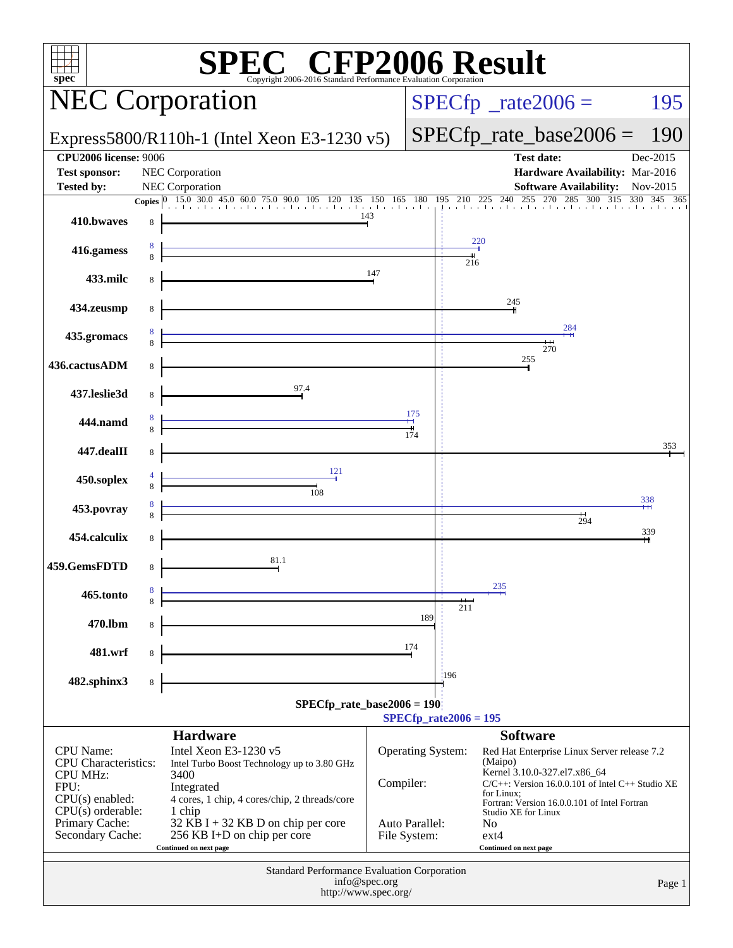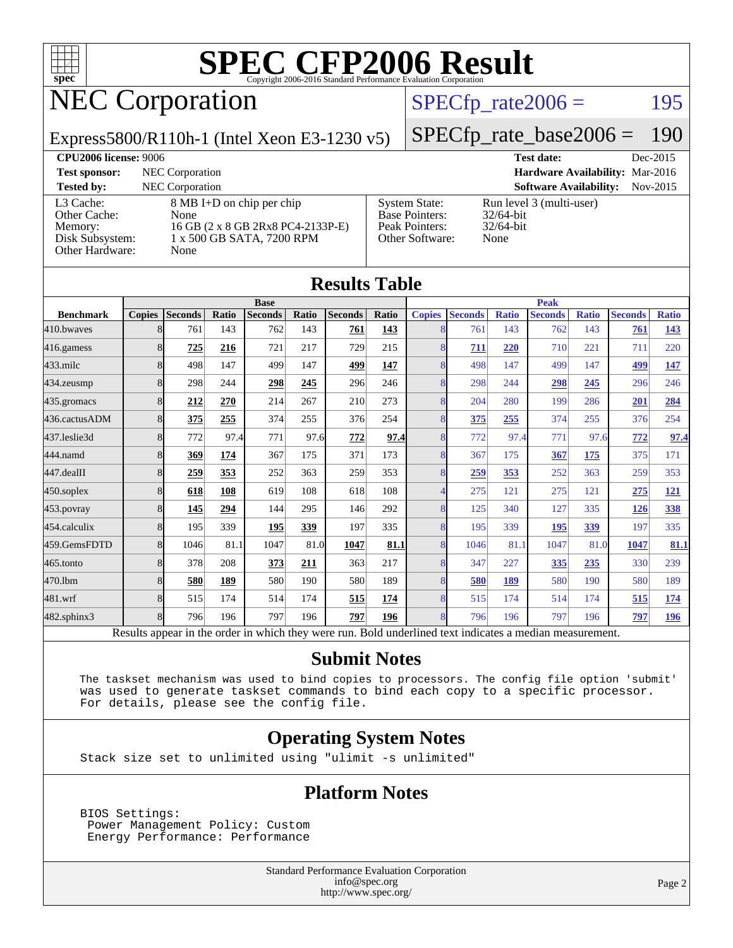

# NEC Corporation

#### $SPECTp_rate2006 = 195$

#### Express5800/R110h-1 (Intel Xeon E3-1230 v5)

## [SPECfp\\_rate\\_base2006 =](http://www.spec.org/auto/cpu2006/Docs/result-fields.html#SPECfpratebase2006) 190

| <b>CPU2006 license: 9006</b>                                               |                                                                                                             |                                                                                    | <b>Test date:</b><br>Dec-2015                                    |
|----------------------------------------------------------------------------|-------------------------------------------------------------------------------------------------------------|------------------------------------------------------------------------------------|------------------------------------------------------------------|
| <b>Test sponsor:</b>                                                       | NEC Corporation                                                                                             |                                                                                    | <b>Hardware Availability: Mar-2016</b>                           |
| <b>Tested by:</b>                                                          | <b>NEC</b> Corporation                                                                                      |                                                                                    | <b>Software Availability:</b><br>Nov-2015                        |
| L3 Cache:<br>Other Cache:<br>Memory:<br>Disk Subsystem:<br>Other Hardware: | 8 MB I+D on chip per chip<br>None<br>16 GB (2 x 8 GB 2Rx8 PC4-2133P-E)<br>1 x 500 GB SATA, 7200 RPM<br>None | <b>System State:</b><br><b>Base Pointers:</b><br>Peak Pointers:<br>Other Software: | Run level 3 (multi-user)<br>$32/64$ -bit<br>$32/64$ -bit<br>None |

| <b>Results Table</b> |               |                                                                                                          |             |                |       |                |              |                |                |              |                |              |                |              |
|----------------------|---------------|----------------------------------------------------------------------------------------------------------|-------------|----------------|-------|----------------|--------------|----------------|----------------|--------------|----------------|--------------|----------------|--------------|
|                      |               |                                                                                                          | <b>Peak</b> |                |       |                |              |                |                |              |                |              |                |              |
| <b>Benchmark</b>     | <b>Copies</b> | <b>Seconds</b>                                                                                           | Ratio       | <b>Seconds</b> | Ratio | <b>Seconds</b> | <b>Ratio</b> | <b>Copies</b>  | <b>Seconds</b> | <b>Ratio</b> | <b>Seconds</b> | <b>Ratio</b> | <b>Seconds</b> | <b>Ratio</b> |
| 410.bwayes           | 8             | 761                                                                                                      | 143         | 762            | 143   | 761            | 143          | 8              | 761            | 143          | 762            | 143          | 761            | 143          |
| 416.gamess           | 8             | 725                                                                                                      | 216         | 721            | 217   | 729            | 215          | 8              | 711            | 220          | 710            | 221          | 711            | 220          |
| $433$ .milc          | 8             | 498                                                                                                      | 147         | 499            | 147   | 499            | 147          | $\overline{8}$ | 498            | 147          | 499            | 147          | 499            | 147          |
| $434$ . zeusmp       | 8             | 298                                                                                                      | 244         | 298            | 245   | 296            | 246          | 8              | 298            | 244          | 298            | 245          | 296            | 246          |
| 435.gromacs          | 8             | 212                                                                                                      | 270         | 214            | 267   | 210            | 273          | 8              | 204            | 280          | 199            | 286          | 201            | 284          |
| 436.cactusADM        | 8             | 375                                                                                                      | 255         | 374            | 255   | 376            | 254          | 8              | 375            | 255          | 374            | 255          | 376            | 254          |
| 437.leslie3d         | 8             | 772                                                                                                      | 97.4        | 771            | 97.6  | 772            | 97.4         | 8              | 772            | 97.4         | 771            | 97.6         | 772            | 97.4         |
| 444.namd             | 8             | 369                                                                                                      | 174         | 367            | 175   | 371            | 173          | 8              | 367            | 175          | 367            | 175          | 375            | 171          |
| $447$ .dealII        | 8             | 259                                                                                                      | 353         | 252            | 363   | 259            | 353          | 8              | 259            | 353          | 252            | 363          | 259            | 353          |
| $450$ .soplex        | 8             | 618                                                                                                      | 108         | 619            | 108   | 618            | 108          | 4              | 275            | 121          | 275            | 121          | 275            | <b>121</b>   |
| 453.povray           | 8             | 145                                                                                                      | 294         | 144            | 295   | 146            | 292          | 8              | 125            | 340          | 127            | 335          | 126            | 338          |
| 454.calculix         | 8             | 195                                                                                                      | 339         | 195            | 339   | 197            | 335          | $\overline{8}$ | 195            | 339          | 195            | 339          | 197            | 335          |
| 459.GemsFDTD         | 8             | 1046                                                                                                     | 81.1        | 1047           | 81.0  | 1047           | 81.1         | 8              | 1046           | 81.1         | 1047           | 81.0         | 1047           | 81.1         |
| $465$ .tonto         | 8             | 378                                                                                                      | 208         | 373            | 211   | 363            | 217          | 8              | 347            | 227          | 335            | 235          | 330            | 239          |
| 470.1bm              | 8             | 580                                                                                                      | 189         | 580            | 190   | 580            | 189          | 8              | 580            | 189          | 580            | 190          | 580            | 189          |
| 481.wrf              | 8             | 515                                                                                                      | 174         | 514            | 174   | 515            | 174          | 8              | 515            | 174          | 514            | 174          | 515            | 174          |
| 482.sphinx3          | 8             | 796                                                                                                      | 196         | 797            | 196   | 797            | 196          | $\overline{8}$ | 796            | 196          | 797            | 196          | 797            | 196          |
|                      |               | Results appear in the order in which they were run. Bold underlined text indicates a median measurement. |             |                |       |                |              |                |                |              |                |              |                |              |

**[Submit Notes](http://www.spec.org/auto/cpu2006/Docs/result-fields.html#SubmitNotes)**

 The taskset mechanism was used to bind copies to processors. The config file option 'submit' was used to generate taskset commands to bind each copy to a specific processor. For details, please see the config file.

#### **[Operating System Notes](http://www.spec.org/auto/cpu2006/Docs/result-fields.html#OperatingSystemNotes)**

Stack size set to unlimited using "ulimit -s unlimited"

#### **[Platform Notes](http://www.spec.org/auto/cpu2006/Docs/result-fields.html#PlatformNotes)**

 BIOS Settings: Power Management Policy: Custom Energy Performance: Performance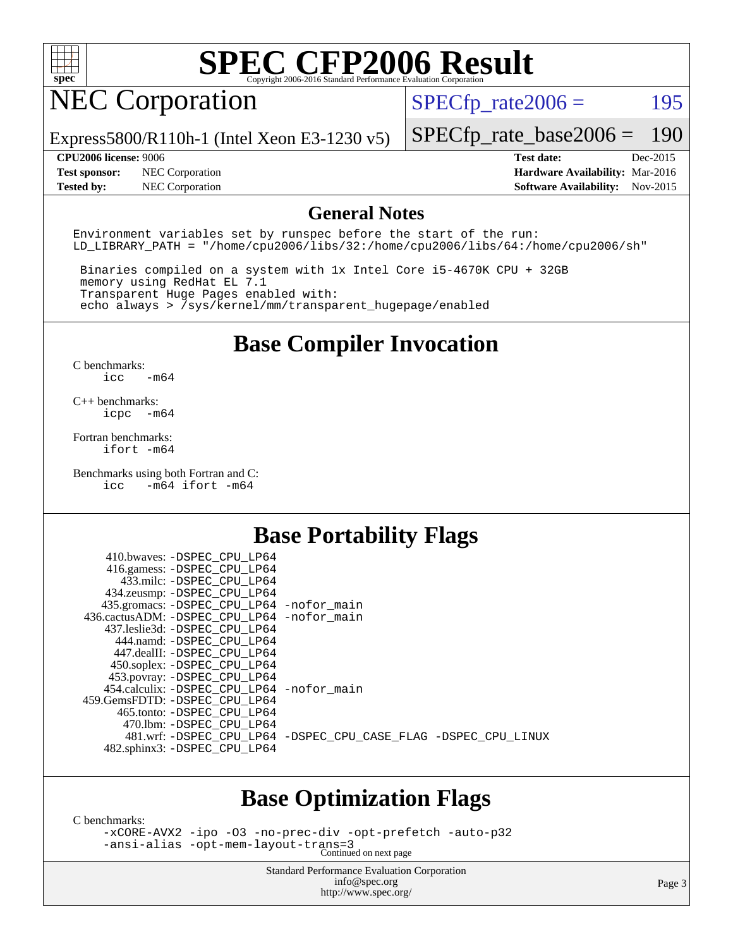

## NEC Corporation

 $SPECTp_rate2006 = 195$ 

Express5800/R110h-1 (Intel Xeon E3-1230 v5)

**[Test sponsor:](http://www.spec.org/auto/cpu2006/Docs/result-fields.html#Testsponsor)** NEC Corporation **[Hardware Availability:](http://www.spec.org/auto/cpu2006/Docs/result-fields.html#HardwareAvailability)** Mar-2016 **[Tested by:](http://www.spec.org/auto/cpu2006/Docs/result-fields.html#Testedby)** NEC Corporation **[Software Availability:](http://www.spec.org/auto/cpu2006/Docs/result-fields.html#SoftwareAvailability)** Nov-2015

[SPECfp\\_rate\\_base2006 =](http://www.spec.org/auto/cpu2006/Docs/result-fields.html#SPECfpratebase2006) 190 **[CPU2006 license:](http://www.spec.org/auto/cpu2006/Docs/result-fields.html#CPU2006license)** 9006 **[Test date:](http://www.spec.org/auto/cpu2006/Docs/result-fields.html#Testdate)** Dec-2015

**[General Notes](http://www.spec.org/auto/cpu2006/Docs/result-fields.html#GeneralNotes)**

Environment variables set by runspec before the start of the run: LD LIBRARY PATH = "/home/cpu2006/libs/32:/home/cpu2006/libs/64:/home/cpu2006/sh"

 Binaries compiled on a system with 1x Intel Core i5-4670K CPU + 32GB memory using RedHat EL 7.1 Transparent Huge Pages enabled with: echo always > /sys/kernel/mm/transparent\_hugepage/enabled

#### **[Base Compiler Invocation](http://www.spec.org/auto/cpu2006/Docs/result-fields.html#BaseCompilerInvocation)**

[C benchmarks](http://www.spec.org/auto/cpu2006/Docs/result-fields.html#Cbenchmarks): [icc -m64](http://www.spec.org/cpu2006/results/res2016q1/cpu2006-20160125-38798.flags.html#user_CCbase_intel_icc_64bit_0b7121f5ab7cfabee23d88897260401c)

[C++ benchmarks:](http://www.spec.org/auto/cpu2006/Docs/result-fields.html#CXXbenchmarks) [icpc -m64](http://www.spec.org/cpu2006/results/res2016q1/cpu2006-20160125-38798.flags.html#user_CXXbase_intel_icpc_64bit_bedb90c1146cab66620883ef4f41a67e)

[Fortran benchmarks](http://www.spec.org/auto/cpu2006/Docs/result-fields.html#Fortranbenchmarks): [ifort -m64](http://www.spec.org/cpu2006/results/res2016q1/cpu2006-20160125-38798.flags.html#user_FCbase_intel_ifort_64bit_ee9d0fb25645d0210d97eb0527dcc06e)

[Benchmarks using both Fortran and C](http://www.spec.org/auto/cpu2006/Docs/result-fields.html#BenchmarksusingbothFortranandC): [icc -m64](http://www.spec.org/cpu2006/results/res2016q1/cpu2006-20160125-38798.flags.html#user_CC_FCbase_intel_icc_64bit_0b7121f5ab7cfabee23d88897260401c) [ifort -m64](http://www.spec.org/cpu2006/results/res2016q1/cpu2006-20160125-38798.flags.html#user_CC_FCbase_intel_ifort_64bit_ee9d0fb25645d0210d97eb0527dcc06e)

 $410.1$   $\ldots$  paper apt tpc.

#### **[Base Portability Flags](http://www.spec.org/auto/cpu2006/Docs/result-fields.html#BasePortabilityFlags)**

| 410.0Waves: -DSPEC CPU LP64                |                                                                |
|--------------------------------------------|----------------------------------------------------------------|
| 416.gamess: -DSPEC_CPU_LP64                |                                                                |
| 433.milc: -DSPEC CPU LP64                  |                                                                |
| 434.zeusmp: -DSPEC_CPU_LP64                |                                                                |
| 435.gromacs: -DSPEC_CPU_LP64 -nofor_main   |                                                                |
| 436.cactusADM: -DSPEC CPU LP64 -nofor main |                                                                |
| 437.leslie3d: -DSPEC CPU LP64              |                                                                |
| 444.namd: -DSPEC CPU LP64                  |                                                                |
| 447.dealII: -DSPEC_CPU_LP64                |                                                                |
| 450.soplex: -DSPEC_CPU_LP64                |                                                                |
| 453.povray: -DSPEC_CPU_LP64                |                                                                |
| 454.calculix: -DSPEC CPU LP64 -nofor main  |                                                                |
| 459.GemsFDTD: -DSPEC CPU LP64              |                                                                |
| 465.tonto: - DSPEC CPU LP64                |                                                                |
| 470.1bm: - DSPEC CPU LP64                  |                                                                |
|                                            | 481.wrf: -DSPEC_CPU_LP64 -DSPEC_CPU_CASE_FLAG -DSPEC_CPU_LINUX |
| 482.sphinx3: -DSPEC_CPU_LP64               |                                                                |
|                                            |                                                                |

#### **[Base Optimization Flags](http://www.spec.org/auto/cpu2006/Docs/result-fields.html#BaseOptimizationFlags)**

[C benchmarks](http://www.spec.org/auto/cpu2006/Docs/result-fields.html#Cbenchmarks):

[-xCORE-AVX2](http://www.spec.org/cpu2006/results/res2016q1/cpu2006-20160125-38798.flags.html#user_CCbase_f-xAVX2_5f5fc0cbe2c9f62c816d3e45806c70d7) [-ipo](http://www.spec.org/cpu2006/results/res2016q1/cpu2006-20160125-38798.flags.html#user_CCbase_f-ipo) [-O3](http://www.spec.org/cpu2006/results/res2016q1/cpu2006-20160125-38798.flags.html#user_CCbase_f-O3) [-no-prec-div](http://www.spec.org/cpu2006/results/res2016q1/cpu2006-20160125-38798.flags.html#user_CCbase_f-no-prec-div) [-opt-prefetch](http://www.spec.org/cpu2006/results/res2016q1/cpu2006-20160125-38798.flags.html#user_CCbase_f-opt-prefetch) [-auto-p32](http://www.spec.org/cpu2006/results/res2016q1/cpu2006-20160125-38798.flags.html#user_CCbase_f-auto-p32) [-ansi-alias](http://www.spec.org/cpu2006/results/res2016q1/cpu2006-20160125-38798.flags.html#user_CCbase_f-ansi-alias) [-opt-mem-layout-trans=3](http://www.spec.org/cpu2006/results/res2016q1/cpu2006-20160125-38798.flags.html#user_CCbase_f-opt-mem-layout-trans_a7b82ad4bd7abf52556d4961a2ae94d5) Continued on next page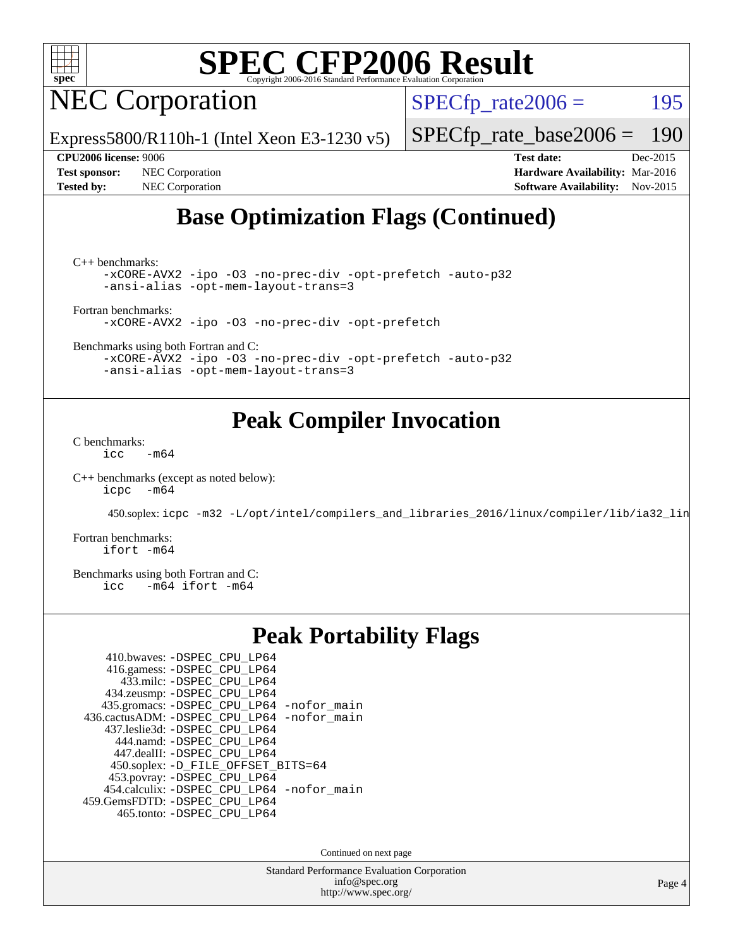

NEC Corporation

 $SPECTp_rate2006 = 195$ 

Express5800/R110h-1 (Intel Xeon E3-1230 v5)

[SPECfp\\_rate\\_base2006 =](http://www.spec.org/auto/cpu2006/Docs/result-fields.html#SPECfpratebase2006) 190

**[Tested by:](http://www.spec.org/auto/cpu2006/Docs/result-fields.html#Testedby)** NEC Corporation **[Software Availability:](http://www.spec.org/auto/cpu2006/Docs/result-fields.html#SoftwareAvailability)** Nov-2015

**[CPU2006 license:](http://www.spec.org/auto/cpu2006/Docs/result-fields.html#CPU2006license)** 9006 **[Test date:](http://www.spec.org/auto/cpu2006/Docs/result-fields.html#Testdate)** Dec-2015 **[Test sponsor:](http://www.spec.org/auto/cpu2006/Docs/result-fields.html#Testsponsor)** NEC Corporation **[Hardware Availability:](http://www.spec.org/auto/cpu2006/Docs/result-fields.html#HardwareAvailability)** Mar-2016

#### **[Base Optimization Flags \(Continued\)](http://www.spec.org/auto/cpu2006/Docs/result-fields.html#BaseOptimizationFlags)**

[C++ benchmarks:](http://www.spec.org/auto/cpu2006/Docs/result-fields.html#CXXbenchmarks)

[-xCORE-AVX2](http://www.spec.org/cpu2006/results/res2016q1/cpu2006-20160125-38798.flags.html#user_CXXbase_f-xAVX2_5f5fc0cbe2c9f62c816d3e45806c70d7) [-ipo](http://www.spec.org/cpu2006/results/res2016q1/cpu2006-20160125-38798.flags.html#user_CXXbase_f-ipo) [-O3](http://www.spec.org/cpu2006/results/res2016q1/cpu2006-20160125-38798.flags.html#user_CXXbase_f-O3) [-no-prec-div](http://www.spec.org/cpu2006/results/res2016q1/cpu2006-20160125-38798.flags.html#user_CXXbase_f-no-prec-div) [-opt-prefetch](http://www.spec.org/cpu2006/results/res2016q1/cpu2006-20160125-38798.flags.html#user_CXXbase_f-opt-prefetch) [-auto-p32](http://www.spec.org/cpu2006/results/res2016q1/cpu2006-20160125-38798.flags.html#user_CXXbase_f-auto-p32) [-ansi-alias](http://www.spec.org/cpu2006/results/res2016q1/cpu2006-20160125-38798.flags.html#user_CXXbase_f-ansi-alias) [-opt-mem-layout-trans=3](http://www.spec.org/cpu2006/results/res2016q1/cpu2006-20160125-38798.flags.html#user_CXXbase_f-opt-mem-layout-trans_a7b82ad4bd7abf52556d4961a2ae94d5)

[Fortran benchmarks](http://www.spec.org/auto/cpu2006/Docs/result-fields.html#Fortranbenchmarks):

[-xCORE-AVX2](http://www.spec.org/cpu2006/results/res2016q1/cpu2006-20160125-38798.flags.html#user_FCbase_f-xAVX2_5f5fc0cbe2c9f62c816d3e45806c70d7) [-ipo](http://www.spec.org/cpu2006/results/res2016q1/cpu2006-20160125-38798.flags.html#user_FCbase_f-ipo) [-O3](http://www.spec.org/cpu2006/results/res2016q1/cpu2006-20160125-38798.flags.html#user_FCbase_f-O3) [-no-prec-div](http://www.spec.org/cpu2006/results/res2016q1/cpu2006-20160125-38798.flags.html#user_FCbase_f-no-prec-div) [-opt-prefetch](http://www.spec.org/cpu2006/results/res2016q1/cpu2006-20160125-38798.flags.html#user_FCbase_f-opt-prefetch)

[Benchmarks using both Fortran and C](http://www.spec.org/auto/cpu2006/Docs/result-fields.html#BenchmarksusingbothFortranandC):

[-xCORE-AVX2](http://www.spec.org/cpu2006/results/res2016q1/cpu2006-20160125-38798.flags.html#user_CC_FCbase_f-xAVX2_5f5fc0cbe2c9f62c816d3e45806c70d7) [-ipo](http://www.spec.org/cpu2006/results/res2016q1/cpu2006-20160125-38798.flags.html#user_CC_FCbase_f-ipo) [-O3](http://www.spec.org/cpu2006/results/res2016q1/cpu2006-20160125-38798.flags.html#user_CC_FCbase_f-O3) [-no-prec-div](http://www.spec.org/cpu2006/results/res2016q1/cpu2006-20160125-38798.flags.html#user_CC_FCbase_f-no-prec-div) [-opt-prefetch](http://www.spec.org/cpu2006/results/res2016q1/cpu2006-20160125-38798.flags.html#user_CC_FCbase_f-opt-prefetch) [-auto-p32](http://www.spec.org/cpu2006/results/res2016q1/cpu2006-20160125-38798.flags.html#user_CC_FCbase_f-auto-p32) [-ansi-alias](http://www.spec.org/cpu2006/results/res2016q1/cpu2006-20160125-38798.flags.html#user_CC_FCbase_f-ansi-alias) [-opt-mem-layout-trans=3](http://www.spec.org/cpu2006/results/res2016q1/cpu2006-20160125-38798.flags.html#user_CC_FCbase_f-opt-mem-layout-trans_a7b82ad4bd7abf52556d4961a2ae94d5)

#### **[Peak Compiler Invocation](http://www.spec.org/auto/cpu2006/Docs/result-fields.html#PeakCompilerInvocation)**

[C benchmarks](http://www.spec.org/auto/cpu2006/Docs/result-fields.html#Cbenchmarks):  $\text{icc}$  -m64

[C++ benchmarks \(except as noted below\):](http://www.spec.org/auto/cpu2006/Docs/result-fields.html#CXXbenchmarksexceptasnotedbelow) [icpc -m64](http://www.spec.org/cpu2006/results/res2016q1/cpu2006-20160125-38798.flags.html#user_CXXpeak_intel_icpc_64bit_bedb90c1146cab66620883ef4f41a67e)

450.soplex: [icpc -m32 -L/opt/intel/compilers\\_and\\_libraries\\_2016/linux/compiler/lib/ia32\\_lin](http://www.spec.org/cpu2006/results/res2016q1/cpu2006-20160125-38798.flags.html#user_peakCXXLD450_soplex_intel_icpc_b4f50a394bdb4597aa5879c16bc3f5c5)

[Fortran benchmarks](http://www.spec.org/auto/cpu2006/Docs/result-fields.html#Fortranbenchmarks): [ifort -m64](http://www.spec.org/cpu2006/results/res2016q1/cpu2006-20160125-38798.flags.html#user_FCpeak_intel_ifort_64bit_ee9d0fb25645d0210d97eb0527dcc06e)

[Benchmarks using both Fortran and C](http://www.spec.org/auto/cpu2006/Docs/result-fields.html#BenchmarksusingbothFortranandC):<br>icc -m64 ifort -m64  $-m64$  ifort  $-m64$ 

#### **[Peak Portability Flags](http://www.spec.org/auto/cpu2006/Docs/result-fields.html#PeakPortabilityFlags)**

| 410.bwaves: -DSPEC CPU LP64                |
|--------------------------------------------|
| 416.gamess: -DSPEC_CPU_LP64                |
| 433.milc: -DSPEC CPU LP64                  |
| 434.zeusmp: -DSPEC_CPU_LP64                |
| 435.gromacs: -DSPEC_CPU_LP64 -nofor_main   |
| 436.cactusADM: -DSPEC_CPU_LP64 -nofor_main |
| 437.leslie3d: -DSPEC CPU LP64              |
| 444.namd: -DSPEC CPU LP64                  |
| 447.dealII: -DSPEC_CPU_LP64                |
| 450.soplex: -D_FILE_OFFSET_BITS=64         |
| 453.povray: -DSPEC_CPU_LP64                |
| 454.calculix: -DSPEC_CPU_LP64 -nofor_main  |
| 459.GemsFDTD: -DSPEC_CPU_LP64              |
| 465.tonto: - DSPEC CPU LP64                |

Continued on next page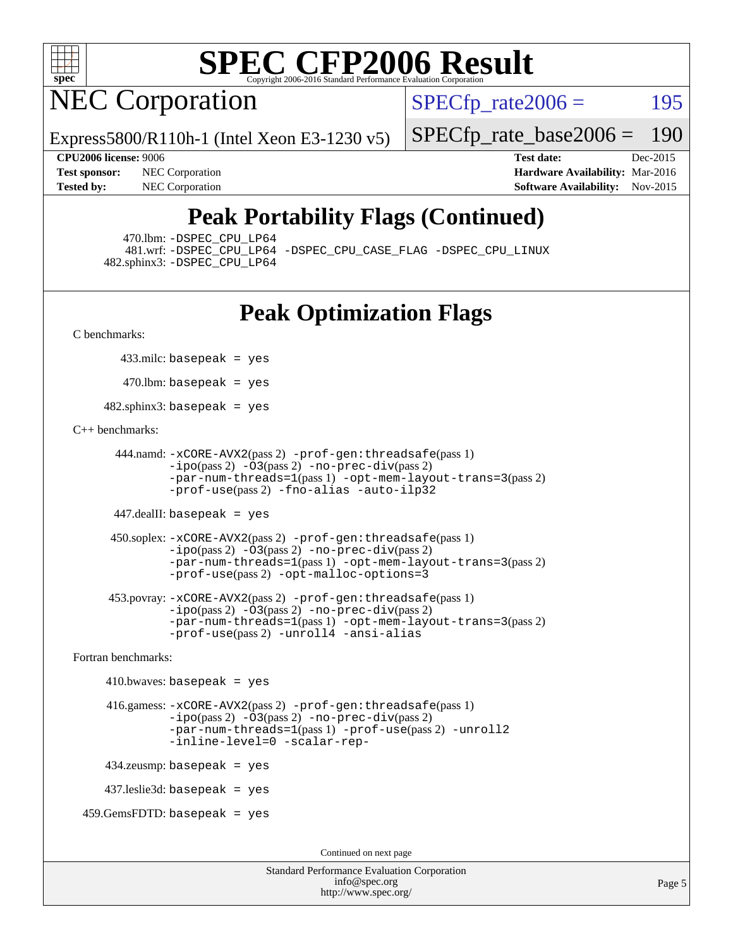

# **NEC Corporation**

 $SPECTp\_rate2006 = 195$ 

Express5800/R110h-1 (Intel Xeon E3-1230 v5)

**[Tested by:](http://www.spec.org/auto/cpu2006/Docs/result-fields.html#Testedby)** NEC Corporation **[Software Availability:](http://www.spec.org/auto/cpu2006/Docs/result-fields.html#SoftwareAvailability)** Nov-2015

**[CPU2006 license:](http://www.spec.org/auto/cpu2006/Docs/result-fields.html#CPU2006license)** 9006 **[Test date:](http://www.spec.org/auto/cpu2006/Docs/result-fields.html#Testdate)** Dec-2015 **[Test sponsor:](http://www.spec.org/auto/cpu2006/Docs/result-fields.html#Testsponsor)** NEC Corporation **NEC Corporation [Hardware Availability:](http://www.spec.org/auto/cpu2006/Docs/result-fields.html#HardwareAvailability)** Mar-2016

[SPECfp\\_rate\\_base2006 =](http://www.spec.org/auto/cpu2006/Docs/result-fields.html#SPECfpratebase2006) 190

## **[Peak Portability Flags \(Continued\)](http://www.spec.org/auto/cpu2006/Docs/result-fields.html#PeakPortabilityFlags)**

470.lbm: [-DSPEC\\_CPU\\_LP64](http://www.spec.org/cpu2006/results/res2016q1/cpu2006-20160125-38798.flags.html#suite_peakPORTABILITY470_lbm_DSPEC_CPU_LP64)

 481.wrf: [-DSPEC\\_CPU\\_LP64](http://www.spec.org/cpu2006/results/res2016q1/cpu2006-20160125-38798.flags.html#suite_peakPORTABILITY481_wrf_DSPEC_CPU_LP64) [-DSPEC\\_CPU\\_CASE\\_FLAG](http://www.spec.org/cpu2006/results/res2016q1/cpu2006-20160125-38798.flags.html#b481.wrf_peakCPORTABILITY_DSPEC_CPU_CASE_FLAG) [-DSPEC\\_CPU\\_LINUX](http://www.spec.org/cpu2006/results/res2016q1/cpu2006-20160125-38798.flags.html#b481.wrf_peakCPORTABILITY_DSPEC_CPU_LINUX) 482.sphinx3: [-DSPEC\\_CPU\\_LP64](http://www.spec.org/cpu2006/results/res2016q1/cpu2006-20160125-38798.flags.html#suite_peakPORTABILITY482_sphinx3_DSPEC_CPU_LP64)

## **[Peak Optimization Flags](http://www.spec.org/auto/cpu2006/Docs/result-fields.html#PeakOptimizationFlags)**

[C benchmarks](http://www.spec.org/auto/cpu2006/Docs/result-fields.html#Cbenchmarks):

433.milc: basepeak = yes

 $470$ .lbm: basepeak = yes

482.sphinx3: basepeak = yes

#### [C++ benchmarks:](http://www.spec.org/auto/cpu2006/Docs/result-fields.html#CXXbenchmarks)

```
 444.namd: -xCORE-AVX2(pass 2) -prof-gen:threadsafe(pass 1)
        -ipo(pass 2) -O3(pass 2) -no-prec-div(pass 2)
        -par-num-threads=1(pass 1) -opt-mem-layout-trans=3(pass 2)
        -prof-use(pass 2) -fno-alias -auto-ilp32
```
447.dealII: basepeak = yes

```
 450.soplex: -xCORE-AVX2(pass 2) -prof-gen:threadsafe(pass 1)
         -ipo(pass 2) -O3(pass 2) -no-prec-div(pass 2)
         -par-num-threads=1(pass 1) -opt-mem-layout-trans=3(pass 2)
         -prof-use(pass 2) -opt-malloc-options=3
```

```
 453.povray: -xCORE-AVX2(pass 2) -prof-gen:threadsafe(pass 1)
        -no-prec-div(pass 2)-par-num-threads=1(pass 1) -opt-mem-layout-trans=3(pass 2)
        -prof-use(pass 2) -unroll4 -ansi-alias
```
[Fortran benchmarks](http://www.spec.org/auto/cpu2006/Docs/result-fields.html#Fortranbenchmarks):

```
410.bwaves: basepeak = yes 416.gamess: -xCORE-AVX2(pass 2) -prof-gen:threadsafe(pass 1)
              -i\text{po}(pass 2) -\overline{O}3(pass 2)-no-prec-div(pass 2)
              -par-num-threads=1(pass 1) -prof-use(pass 2) -unroll2
              -inline-level=0 -scalar-rep-
    434.zeusmp: basepeak = yes
    437.leslie3d: basepeak = yes
459.GemsFDTD: basepeak = yes
```
Continued on next page